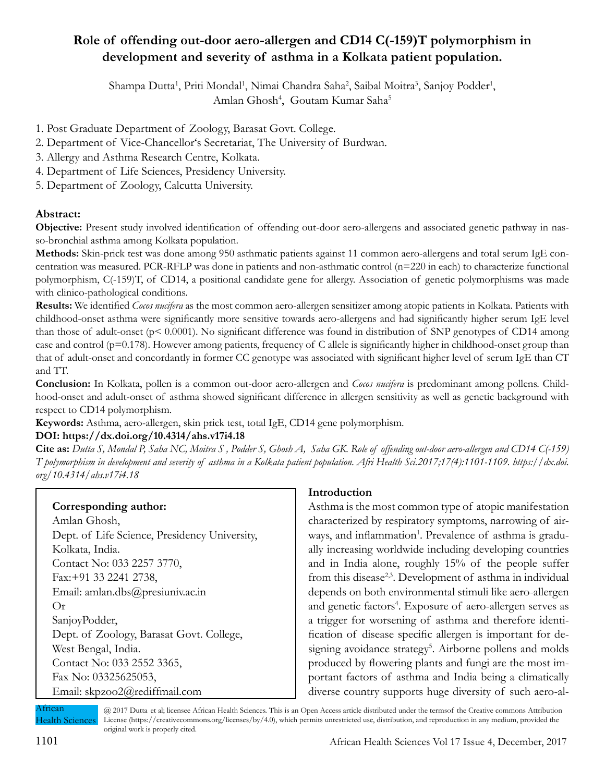# **Role of offending out-door aero-allergen and CD14 C(-159)T polymorphism in development and severity of asthma in a Kolkata patient population.**

Shampa Dutta<sup>1</sup>, Priti Mondal<sup>1</sup>, Nimai Chandra Saha<sup>2</sup>, Saibal Moitra<sup>3</sup>, Sanjoy Podder<sup>1</sup>, Amlan Ghosh<sup>4</sup>, Goutam Kumar Saha<sup>5</sup>

- 1. Post Graduate Department of Zoology, Barasat Govt. College.
- 2. Department of Vice-Chancellor's Secretariat, The University of Burdwan.
- 3. Allergy and Asthma Research Centre, Kolkata.
- 4. Department of Life Sciences, Presidency University.
- 5. Department of Zoology, Calcutta University.

## **Abstract:**

**Objective:** Present study involved identification of offending out-door aero-allergens and associated genetic pathway in nasso-bronchial asthma among Kolkata population.

**Methods:** Skin-prick test was done among 950 asthmatic patients against 11 common aero-allergens and total serum IgE concentration was measured. PCR-RFLP was done in patients and non-asthmatic control (n=220 in each) to characterize functional polymorphism, C(-159)T, of CD14, a positional candidate gene for allergy. Association of genetic polymorphisms was made with clinico-pathological conditions.

**Results:** We identified *Cocos nucifera* as the most common aero-allergen sensitizer among atopic patients in Kolkata. Patients with childhood-onset asthma were significantly more sensitive towards aero-allergens and had significantly higher serum IgE level than those of adult-onset (p< 0.0001). No significant difference was found in distribution of SNP genotypes of CD14 among case and control ( $p=0.178$ ). However among patients, frequency of C allele is significantly higher in childhood-onset group than that of adult-onset and concordantly in former CC genotype was associated with significant higher level of serum IgE than CT and TT.

**Conclusion:** In Kolkata, pollen is a common out-door aero-allergen and *Cocos nucifera* is predominant among pollens. Childhood-onset and adult-onset of asthma showed significant difference in allergen sensitivity as well as genetic background with respect to CD14 polymorphism.

**Keywords:** Asthma, aero-allergen, skin prick test, total IgE, CD14 gene polymorphism.

## **DOI: https://dx.doi.org/10.4314/ahs.v17i4.18**

**Cite as:** *Dutta S, Mondal P, Saha NC, Moitra S , Podder S, Ghosh A, Saha GK. Role of offending out-door aero-allergen and CD14 C(-159) T polymorphism in development and severity of asthma in a Kolkata patient population. Afri Health Sci.2017;17(4):1101-1109. https://dx.doi. org/10.4314/ahs.v17i4.18*

# **Corresponding author:**

Amlan Ghosh, Dept. of Life Science, Presidency University, Kolkata, India. Contact No: 033 2257 3770, Fax:+91 33 2241 2738, Email: amlan.dbs@presiuniv.ac.in Or SanjoyPodder, Dept. of Zoology, Barasat Govt. College, West Bengal, India. Contact No: 033 2552 3365, Fax No: 03325625053, Email: skpzoo2@rediffmail.com

## **Introduction**

Asthma is the most common type of atopic manifestation characterized by respiratory symptoms, narrowing of airways, and inflammation<sup>1</sup>. Prevalence of asthma is gradually increasing worldwide including developing countries and in India alone, roughly 15% of the people suffer from this disease<sup>2,3</sup>. Development of asthma in individual depends on both environmental stimuli like aero-allergen and genetic factors<sup>4</sup>. Exposure of aero-allergen serves as a trigger for worsening of asthma and therefore identification of disease specific allergen is important for designing avoidance strategy<sup>5</sup>. Airborne pollens and molds produced by flowering plants and fungi are the most important factors of asthma and India being a climatically diverse country supports huge diversity of such aero-al-

African Health Sciences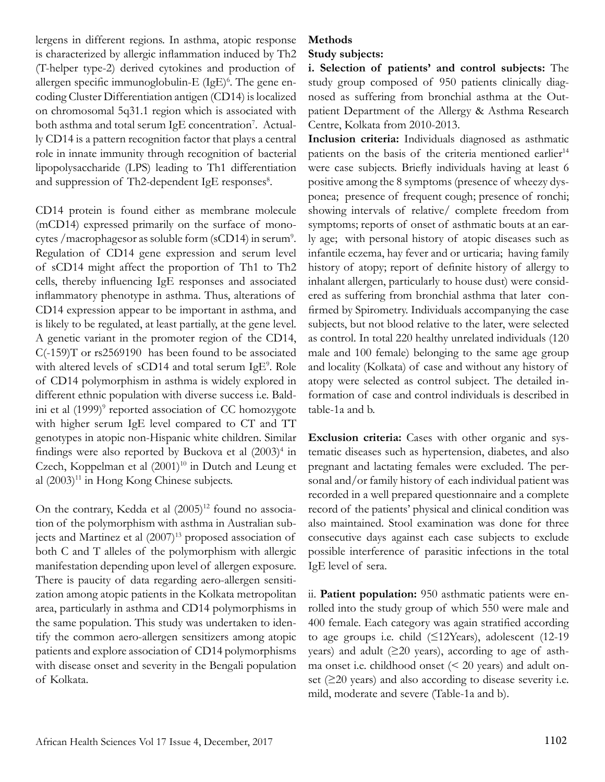lergens in different regions. In asthma, atopic response is characterized by allergic inflammation induced by Th2 (T-helper type-2) derived cytokines and production of allergen specific immunoglobulin-E (IgE)<sup>6</sup>. The gene encoding Cluster Differentiation antigen (CD14) is localized on chromosomal 5q31.1 region which is associated with both asthma and total serum IgE concentration<sup>7</sup>. Actually CD14 is a pattern recognition factor that plays a central role in innate immunity through recognition of bacterial lipopolysaccharide (LPS) leading to Th1 differentiation and suppression of Th2-dependent IgE responses<sup>8</sup>.

CD14 protein is found either as membrane molecule (mCD14) expressed primarily on the surface of monocytes / macrophagesor as soluble form (sCD14) in serum<sup>9</sup>. Regulation of CD14 gene expression and serum level of sCD14 might affect the proportion of Th1 to Th2 cells, thereby influencing IgE responses and associated inflammatory phenotype in asthma. Thus, alterations of CD14 expression appear to be important in asthma, and is likely to be regulated, at least partially, at the gene level. A genetic variant in the promoter region of the CD14, C(-159)T or rs2569190 has been found to be associated with altered levels of sCD14 and total serum IgE<sup>9</sup>. Role of CD14 polymorphism in asthma is widely explored in different ethnic population with diverse success i.e. Baldini et al (1999)<sup>9</sup> reported association of CC homozygote with higher serum IgE level compared to CT and TT genotypes in atopic non-Hispanic white children. Similar findings were also reported by Buckova et al  $(2003)^4$  in Czech, Koppelman et al  $(2001)^{10}$  in Dutch and Leung et al  $(2003)^{11}$  in Hong Kong Chinese subjects.

On the contrary, Kedda et al  $(2005)^{12}$  found no association of the polymorphism with asthma in Australian subjects and Martinez et al (2007)<sup>13</sup> proposed association of both C and T alleles of the polymorphism with allergic manifestation depending upon level of allergen exposure. There is paucity of data regarding aero-allergen sensitization among atopic patients in the Kolkata metropolitan area, particularly in asthma and CD14 polymorphisms in the same population. This study was undertaken to identify the common aero-allergen sensitizers among atopic patients and explore association of CD14 polymorphisms with disease onset and severity in the Bengali population of Kolkata.

# **Methods**

# **Study subjects:**

**i. Selection of patients' and control subjects:** The study group composed of 950 patients clinically diagnosed as suffering from bronchial asthma at the Outpatient Department of the Allergy & Asthma Research Centre, Kolkata from 2010-2013.

**Inclusion criteria:** Individuals diagnosed as asthmatic patients on the basis of the criteria mentioned earlier<sup>14</sup> were case subjects. Briefly individuals having at least 6 positive among the 8 symptoms (presence of wheezy dysponea; presence of frequent cough; presence of ronchi; showing intervals of relative/ complete freedom from symptoms; reports of onset of asthmatic bouts at an early age; with personal history of atopic diseases such as infantile eczema, hay fever and or urticaria; having family history of atopy; report of definite history of allergy to inhalant allergen, particularly to house dust) were considered as suffering from bronchial asthma that later confirmed by Spirometry. Individuals accompanying the case subjects, but not blood relative to the later, were selected as control. In total 220 healthy unrelated individuals (120 male and 100 female) belonging to the same age group and locality (Kolkata) of case and without any history of atopy were selected as control subject. The detailed information of case and control individuals is described in table-1a and b.

**Exclusion criteria:** Cases with other organic and systematic diseases such as hypertension, diabetes, and also pregnant and lactating females were excluded. The personal and/or family history of each individual patient was recorded in a well prepared questionnaire and a complete record of the patients' physical and clinical condition was also maintained. Stool examination was done for three consecutive days against each case subjects to exclude possible interference of parasitic infections in the total IgE level of sera.

ii. **Patient population:** 950 asthmatic patients were enrolled into the study group of which 550 were male and 400 female. Each category was again stratified according to age groups i.e. child (≤12Years), adolescent (12-19 years) and adult (≥20 years), according to age of asthma onset i.e. childhood onset (< 20 years) and adult onset  $(\geq 20 \text{ years})$  and also according to disease severity i.e. mild, moderate and severe (Table-1a and b).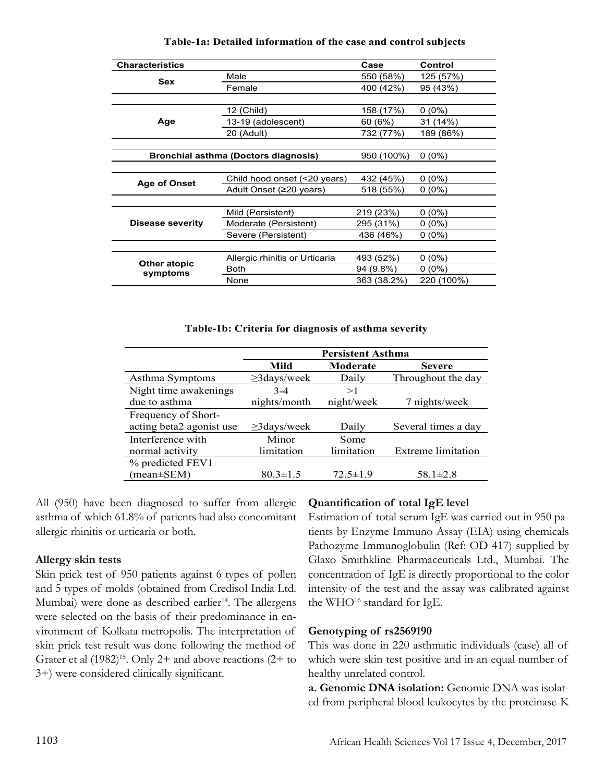| <b>Characteristics</b>                      |                                | Case        | Control    |
|---------------------------------------------|--------------------------------|-------------|------------|
| <b>Sex</b>                                  | Male                           | 550 (58%)   | 125 (57%)  |
|                                             | Female                         | 400 (42%)   | 95 (43%)   |
|                                             |                                |             |            |
| Age                                         | 12 (Child)                     | 158 (17%)   | $0(0\%)$   |
|                                             | 13-19 (adolescent)             | 60 (6%)     | 31 (14%)   |
|                                             | 20 (Adult)                     | 732 (77%)   | 189 (86%)  |
|                                             |                                |             |            |
| <b>Bronchial asthma (Doctors diagnosis)</b> |                                | 950 (100%)  | $0(0\%)$   |
|                                             |                                |             |            |
|                                             | Child hood onset (<20 years)   | 432 (45%)   | $0(0\%)$   |
| <b>Age of Onset</b>                         | Adult Onset (≥20 years)        | 518 (55%)   | $0(0\%)$   |
|                                             |                                |             |            |
| <b>Disease severity</b>                     | Mild (Persistent)              | 219 (23%)   | $0(0\%)$   |
|                                             | Moderate (Persistent)          | 295 (31%)   | $0(0\%)$   |
|                                             | Severe (Persistent)            | 436 (46%)   | $0(0\%)$   |
|                                             |                                |             |            |
|                                             | Allergic rhinitis or Urticaria | 493 (52%)   | $0(0\%)$   |
| Other atopic<br>symptoms                    | Both                           | 94 (9.8%)   | $0(0\%)$   |
|                                             | None                           | 363 (38.2%) | 220 (100%) |

**Table-1a: Detailed information of the case and control subjects**

#### **Table-1b: Criteria for diagnosis of asthma severity**

|                          | <b>Persistent Asthma</b> |                |                     |  |
|--------------------------|--------------------------|----------------|---------------------|--|
|                          | Mild                     | Moderate       | <b>Severe</b>       |  |
| Asthma Symptoms          | $\geq$ 3days/week        | Daily          | Throughout the day  |  |
| Night time awakenings    | $3-4$                    | >1             |                     |  |
| due to asthma            | nights/month             | night/week     | 7 nights/week       |  |
| Frequency of Short-      |                          |                |                     |  |
| acting beta2 agonist use | $\geq$ 3days/week        | Daily          | Several times a day |  |
| Interference with        | Minor                    | Some           |                     |  |
| normal activity          | limitation               | limitation     | Extreme limitation  |  |
| % predicted FEV1         |                          |                |                     |  |
| (mean±SEM)               | $80.3 \pm 1.5$           | $72.5 \pm 1.9$ | $58.1 \pm 2.8$      |  |

All (950) have been diagnosed to suffer from allergic asthma of which 61.8% of patients had also concomitant allergic rhinitis or urticaria or both.

## **Allergy skin tests**

Skin prick test of 950 patients against 6 types of pollen and 5 types of molds (obtained from Credisol India Ltd. Mumbai) were done as described earlier<sup>14</sup>. The allergens were selected on the basis of their predominance in environment of Kolkata metropolis. The interpretation of skin prick test result was done following the method of Grater et al  $(1982)^{15}$ . Only 2+ and above reactions  $(2+)$  to 3+) were considered clinically significant.

## **Quantification of total IgE level**

Estimation of total serum IgE was carried out in 950 patients by Enzyme Immuno Assay (EIA) using chemicals Pathozyme Immunoglobulin (Ref: OD 417) supplied by Glaxo Smithkline Pharmaceuticals Ltd., Mumbai. The concentration of IgE is directly proportional to the color intensity of the test and the assay was calibrated against the WHO<sup>16</sup> standard for IgE.

#### **Genotyping of rs2569190**

This was done in 220 asthmatic individuals (case) all of which were skin test positive and in an equal number of healthy unrelated control.

**a. Genomic DNA isolation:** Genomic DNA was isolated from peripheral blood leukocytes by the proteinase-K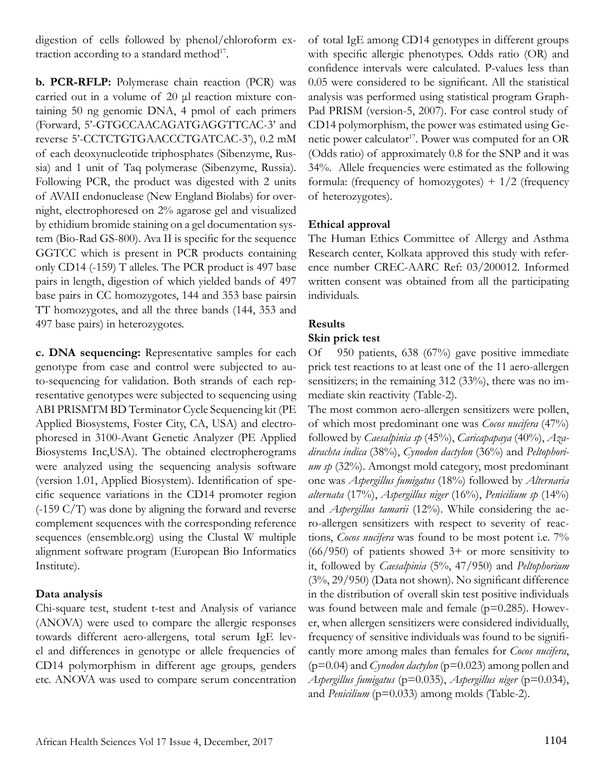digestion of cells followed by phenol/chloroform extraction according to a standard method<sup>17</sup>.

**b. PCR-RFLP:** Polymerase chain reaction (PCR) was carried out in a volume of 20 μl reaction mixture containing 50 ng genomic DNA, 4 pmol of each primers (Forward, 5'-GTGCCAACAGATGAGGTTCAC-3' and reverse 5'-CCTCTGTGAACCCTGATCAC-3'), 0.2 mM of each deoxynucleotide triphosphates (Sibenzyme, Russia) and 1 unit of Taq polymerase (Sibenzyme, Russia). Following PCR, the product was digested with 2 units of AVAII endonuclease (New England Biolabs) for overnight, electrophoresed on 2% agarose gel and visualized by ethidium bromide staining on a gel documentation system (Bio-Rad GS-800). Ava II is specific for the sequence GGTCC which is present in PCR products containing only CD14 (-159) T alleles. The PCR product is 497 base pairs in length, digestion of which yielded bands of 497 base pairs in CC homozygotes, 144 and 353 base pairsin TT homozygotes, and all the three bands (144, 353 and 497 base pairs) in heterozygotes.

**c. DNA sequencing:** Representative samples for each genotype from case and control were subjected to auto-sequencing for validation. Both strands of each representative genotypes were subjected to sequencing using ABI PRISMTM BD Terminator Cycle Sequencing kit (PE Applied Biosystems, Foster City, CA, USA) and electrophoresed in 3100-Avant Genetic Analyzer (PE Applied Biosystems Inc,USA). The obtained electropherograms were analyzed using the sequencing analysis software (version 1.01, Applied Biosystem). Identification of specific sequence variations in the CD14 promoter region (-159 C/T) was done by aligning the forward and reverse complement sequences with the corresponding reference sequences (ensemble.org) using the Clustal W multiple alignment software program (European Bio Informatics Institute).

## **Data analysis**

Chi-square test, student t-test and Analysis of variance (ANOVA) were used to compare the allergic responses towards different aero-allergens, total serum IgE level and differences in genotype or allele frequencies of CD14 polymorphism in different age groups, genders etc. ANOVA was used to compare serum concentration of total IgE among CD14 genotypes in different groups with specific allergic phenotypes. Odds ratio (OR) and confidence intervals were calculated. P-values less than 0.05 were considered to be significant. All the statistical analysis was performed using statistical program Graph-Pad PRISM (version-5, 2007). For case control study of CD14 polymorphism, the power was estimated using Genetic power calculator<sup>17</sup>. Power was computed for an OR (Odds ratio) of approximately 0.8 for the SNP and it was 34%. Allele frequencies were estimated as the following formula: (frequency of homozygotes)  $+1/2$  (frequency of heterozygotes).

## **Ethical approval**

The Human Ethics Committee of Allergy and Asthma Research center, Kolkata approved this study with reference number CREC-AARC Ref: 03/200012. Informed written consent was obtained from all the participating individuals.

# **Results**

## **Skin prick test**

Of 950 patients, 638 (67%) gave positive immediate prick test reactions to at least one of the 11 aero-allergen sensitizers; in the remaining 312 (33%), there was no immediate skin reactivity (Table-2).

The most common aero-allergen sensitizers were pollen, of which most predominant one was *Cocos nucifera* (47%) followed by *Caesalpinia sp* (45%), *Caricapapaya* (40%), *Azadirachta indica* (38%), *Cynodon dactylon* (36%) and *Peltophorium sp* (32%). Amongst mold category, most predominant one was *Aspergillus fumigatus* (18%) followed by *Alternaria alternata* (17%), *Aspergillus niger* (16%), *Penicilium sp* (14%) and *Aspergillus tamarii* (12%). While considering the aero-allergen sensitizers with respect to severity of reactions, *Cocos nucifera* was found to be most potent i.e. 7%  $(66/950)$  of patients showed  $3+$  or more sensitivity to it, followed by *Caesalpinia* (5%, 47/950) and *Peltophorium*  (3%, 29/950) (Data not shown). No significant difference in the distribution of overall skin test positive individuals was found between male and female (p=0.285). However, when allergen sensitizers were considered individually, frequency of sensitive individuals was found to be significantly more among males than females for *Cocos nucifera*,  $(p=0.04)$  and *Cynodon dactylon*  $(p=0.023)$  among pollen and *Aspergillus fumigatus* (p=0.035), *Aspergillus niger* (p=0.034), and *Penicilium* (p=0.033) among molds (Table-2).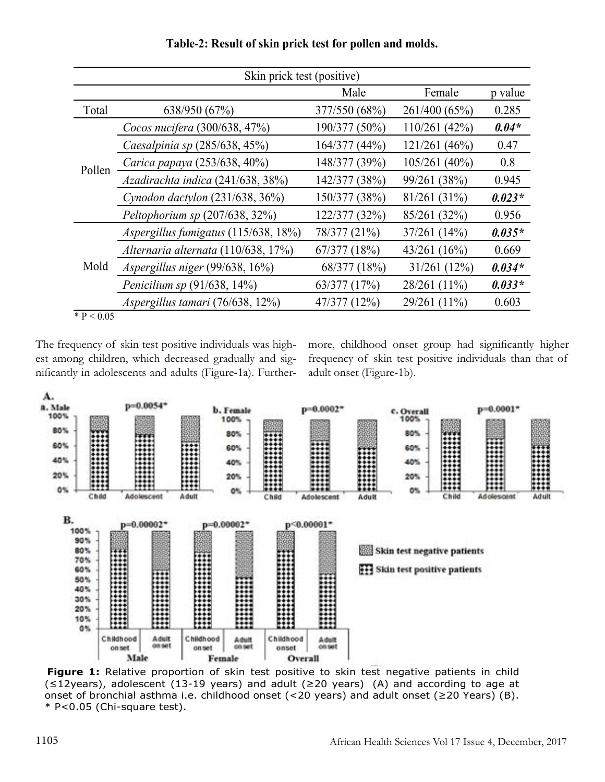| Skin prick test (positive) |                                      |               |                |          |  |  |  |  |
|----------------------------|--------------------------------------|---------------|----------------|----------|--|--|--|--|
|                            |                                      | Male          | Female         | p value  |  |  |  |  |
| Total                      | 638/950 (67%)                        | 377/550 (68%) | 261/400 (65%)  | 0.285    |  |  |  |  |
| Pollen                     | Cocos nucifera (300/638, 47%)        | 190/377 (50%) | 110/261 (42%)  | $0.04*$  |  |  |  |  |
|                            | Caesalpinia sp (285/638, 45%)        | 164/377 (44%) | 121/261 (46%)  | 0.47     |  |  |  |  |
|                            | Carica papaya (253/638, 40%)         | 148/377 (39%) | 105/261(40%)   | 0.8      |  |  |  |  |
|                            | Azadirachta indica (241/638, 38%)    | 142/377 (38%) | 99/261 (38%)   | 0.945    |  |  |  |  |
|                            | Cynodon dactylon $(231/638, 36%)$    | 150/377 (38%) | 81/261(31%)    | $0.023*$ |  |  |  |  |
|                            | Peltophorium sp (207/638, 32%)       | 122/377 (32%) | 85/261 (32%)   | 0.956    |  |  |  |  |
| Mold                       | Aspergillus fumigatus (115/638, 18%) | 78/377 (21%)  | 37/261(14%)    | $0.035*$ |  |  |  |  |
|                            | Alternaria alternata (110/638, 17%)  | 67/377(18%)   | 43/261(16%)    | 0.669    |  |  |  |  |
|                            | Aspergillus niger (99/638, 16%)      | 68/377 (18%)  | $31/261$ (12%) | $0.034*$ |  |  |  |  |
|                            | <i>Penicilium sp</i> $(91/638, 14%)$ | 63/377 (17%)  | 28/261 (11%)   | $0.033*$ |  |  |  |  |
|                            | Aspergillus tamari (76/638, 12%)     | 47/377 (12%)  | 29/261 (11%)   | 0.603    |  |  |  |  |
| * $P < 0.05$               |                                      |               |                |          |  |  |  |  |

**Table-2: Result of skin prick test for pollen and molds.**

The frequency of skin test positive individuals was highest among children, which decreased gradually and significantly in adolescents and adults (Figure-1a). Furthermore, childhood onset group had significantly higher frequency of skin test positive individuals than that of adult onset (Figure-1b).



**Figure 1:** Relative proportion of skin test positive to skin test negative patients in child (≤12years), adolescent (13-19 years) and adult (≥20 years) (A) and according to age at onset of bronchial asthma i.e. childhood onset (<20 years) and adult onset (≥20 Years) (B). \* P<0.05 (Chi-square test).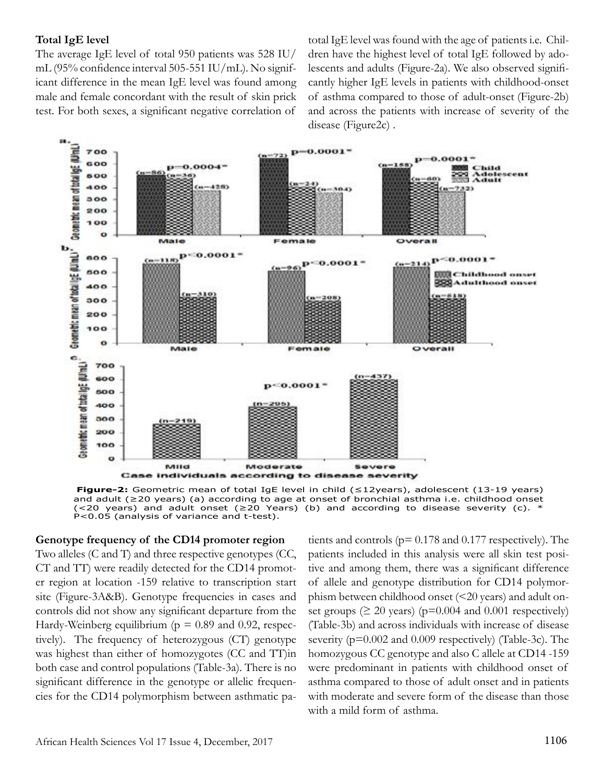#### **Total IgE level**

The average IgE level of total 950 patients was 528 IU/ mL (95% confidence interval 505-551 IU/mL). No significant difference in the mean IgE level was found among male and female concordant with the result of skin prick test. For both sexes, a significant negative correlation of total IgE level was found with the age of patients i.e. Children have the highest level of total IgE followed by adolescents and adults (Figure-2a). We also observed significantly higher IgE levels in patients with childhood-onset of asthma compared to those of adult-onset (Figure-2b) and across the patients with increase of severity of the disease (Figure2c) .



**Figure-2:** Geometric mean of total IgE level in child (≤12years), adolescent (13-19 years) and adult (≥20 years) (a) according to age at onset of bronchial asthma i.e. childhood onset  $(*20* years)$  and adult onset ( $\geq$ 20 Years) (b) and according to disease severity (c). P<0.05 (analysis of variance and t-test).

#### **Genotype frequency of the CD14 promoter region**

Two alleles (C and T) and three respective genotypes (CC, CT and TT) were readily detected for the CD14 promoter region at location -159 relative to transcription start site (Figure-3A&B). Genotype frequencies in cases and controls did not show any significant departure from the Hardy-Weinberg equilibrium ( $p = 0.89$  and 0.92, respectively). The frequency of heterozygous (CT) genotype was highest than either of homozygotes (CC and TT)in both case and control populations (Table-3a). There is no significant difference in the genotype or allelic frequencies for the CD14 polymorphism between asthmatic patients and controls (p= 0.178 and 0.177 respectively). The patients included in this analysis were all skin test positive and among them, there was a significant difference of allele and genotype distribution for CD14 polymorphism between childhood onset (<20 years) and adult onset groups ( $\geq 20$  years) ( $p=0.004$  and 0.001 respectively) (Table-3b) and across individuals with increase of disease severity (p=0.002 and 0.009 respectively) (Table-3c). The homozygous CC genotype and also C allele at CD14 -159 were predominant in patients with childhood onset of asthma compared to those of adult onset and in patients with moderate and severe form of the disease than those with a mild form of asthma.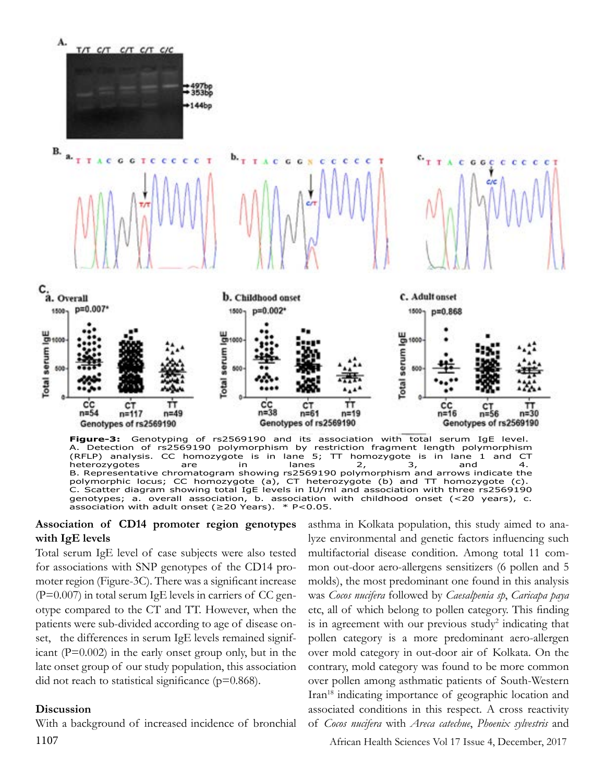

**Figure-3:** Genotyping of rs2569190 and its association with total serum IgE level. A. Detection of rs2569190 polymorphism by restriction fragment length polymorphism (RFLP) analysis. CC homozygote is in lane 5; TT homozygote is in lane 1 and CT heterozygotes are in lanes 2, 3, and 4. heterozygotes are in lanes 2, 3, and 4.<br>B. Representative chromatogram showing rs2569190 polymorphism and arrows indicate the polymorphic locus; CC homozygote (a), CT heterozygote (b) and TT homozygote (c). C. Scatter diagram showing total IgE levels in IU/ml and association with three rs2569190 genotypes; a. overall association, b. association with childhood onset (<20 years), c. association with adult onset ( $\geq$ 20 Years). \* P<0.05.

#### **Association of CD14 promoter region genotypes with IgE levels**

Total serum IgE level of case subjects were also tested for associations with SNP genotypes of the CD14 promoter region (Figure-3C). There was a significant increase  $(P=0.007)$  in total serum IgE levels in carriers of CC genotype compared to the CT and TT. However, when the patients were sub-divided according to age of disease onset, the differences in serum IgE levels remained significant  $(P=0.002)$  in the early onset group only, but in the late onset group of our study population, this association did not reach to statistical significance ( $p=0.868$ ).

#### **Discussion**

With a background of increased incidence of bronchial 1107 African Health Sciences Vol 17 Issue 4, December, 2017

asthma in Kolkata population, this study aimed to analyze environmental and genetic factors influencing such multifactorial disease condition. Among total 11 common out-door aero-allergens sensitizers (6 pollen and 5 molds), the most predominant one found in this analysis was *Cocos nucifera* followed by *Caesalpenia sp*, *Caricapa paya* etc, all of which belong to pollen category. This finding is in agreement with our previous study<sup>2</sup> indicating that pollen category is a more predominant aero-allergen over mold category in out-door air of Kolkata. On the contrary, mold category was found to be more common over pollen among asthmatic patients of South-Western Iran18 indicating importance of geographic location and associated conditions in this respect. A cross reactivity of *Cocos nucifera* with *Areca catechue*, *Phoenix sylvestris* and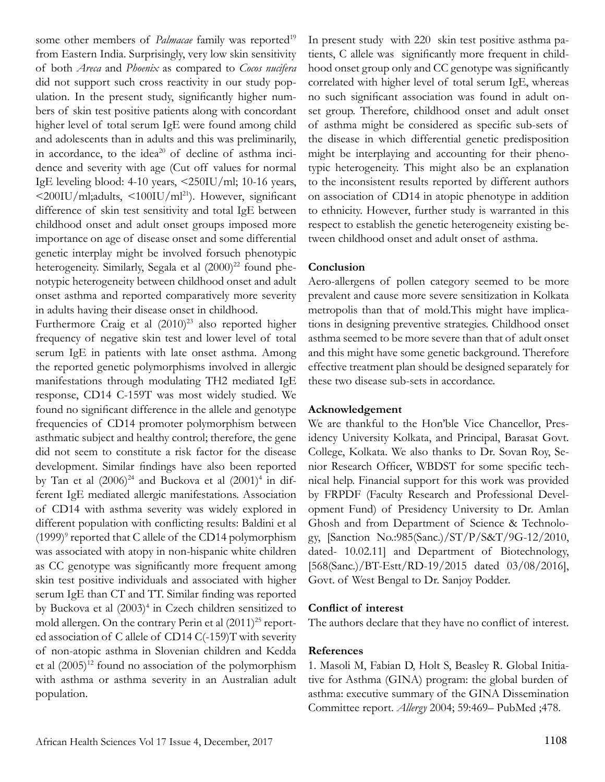some other members of *Palmacae* family was reported<sup>19</sup> from Eastern India. Surprisingly, very low skin sensitivity of both *Areca* and *Phoenix* as compared to *Cocos nucifera*  did not support such cross reactivity in our study population. In the present study, significantly higher numbers of skin test positive patients along with concordant higher level of total serum IgE were found among child and adolescents than in adults and this was preliminarily, in accordance, to the idea<sup>20</sup> of decline of asthma incidence and severity with age (Cut off values for normal IgE leveling blood: 4-10 years, <250IU/ml; 10-16 years, <200IU/ml;adults, <100IU/ml21). However, significant difference of skin test sensitivity and total IgE between childhood onset and adult onset groups imposed more importance on age of disease onset and some differential genetic interplay might be involved forsuch phenotypic heterogeneity. Similarly, Segala et al  $(2000)^{22}$  found phenotypic heterogeneity between childhood onset and adult onset asthma and reported comparatively more severity in adults having their disease onset in childhood.

Furthermore Craig et al  $(2010)^{23}$  also reported higher frequency of negative skin test and lower level of total serum IgE in patients with late onset asthma. Among the reported genetic polymorphisms involved in allergic manifestations through modulating TH2 mediated IgE response, CD14 C-159T was most widely studied. We found no significant difference in the allele and genotype frequencies of CD14 promoter polymorphism between asthmatic subject and healthy control; therefore, the gene did not seem to constitute a risk factor for the disease development. Similar findings have also been reported by Tan et al  $(2006)^{24}$  and Buckova et al  $(2001)^{4}$  in different IgE mediated allergic manifestations. Association of CD14 with asthma severity was widely explored in different population with conflicting results: Baldini et al  $(1999)$ <sup>9</sup> reported that C allele of the CD14 polymorphism was associated with atopy in non-hispanic white children as CC genotype was significantly more frequent among skin test positive individuals and associated with higher serum IgE than CT and TT. Similar finding was reported by Buckova et al (2003)<sup>4</sup> in Czech children sensitized to mold allergen. On the contrary Perin et al  $(2011)^{25}$  reported association of C allele of CD14 C(-159)T with severity of non-atopic asthma in Slovenian children and Kedda et al  $(2005)^{12}$  found no association of the polymorphism with asthma or asthma severity in an Australian adult population.

In present study with 220 skin test positive asthma patients, C allele was significantly more frequent in childhood onset group only and CC genotype was significantly correlated with higher level of total serum IgE, whereas no such significant association was found in adult onset group. Therefore, childhood onset and adult onset of asthma might be considered as specific sub-sets of the disease in which differential genetic predisposition might be interplaying and accounting for their phenotypic heterogeneity. This might also be an explanation to the inconsistent results reported by different authors on association of CD14 in atopic phenotype in addition to ethnicity. However, further study is warranted in this respect to establish the genetic heterogeneity existing between childhood onset and adult onset of asthma.

# **Conclusion**

Aero-allergens of pollen category seemed to be more prevalent and cause more severe sensitization in Kolkata metropolis than that of mold.This might have implications in designing preventive strategies. Childhood onset asthma seemed to be more severe than that of adult onset and this might have some genetic background. Therefore effective treatment plan should be designed separately for these two disease sub-sets in accordance.

## **Acknowledgement**

We are thankful to the Hon'ble Vice Chancellor, Presidency University Kolkata, and Principal, Barasat Govt. College, Kolkata. We also thanks to Dr. Sovan Roy, Senior Research Officer, WBDST for some specific technical help. Financial support for this work was provided by FRPDF (Faculty Research and Professional Development Fund) of Presidency University to Dr. Amlan Ghosh and from Department of Science & Technology, [Sanction No.:985(Sanc.)/ST/P/S&T/9G-12/2010, dated- 10.02.11] and Department of Biotechnology, [568(Sanc.)/BT-Estt/RD-19/2015 dated 03/08/2016], Govt. of West Bengal to Dr. Sanjoy Podder.

# **Conflict of interest**

The authors declare that they have no conflict of interest.

# **References**

1. Masoli M, Fabian D, Holt S, Beasley R. Global Initiative for Asthma (GINA) program: the global burden of asthma: executive summary of the GINA Dissemination Committee report. *Allergy* 2004; 59:469– PubMed ;478.